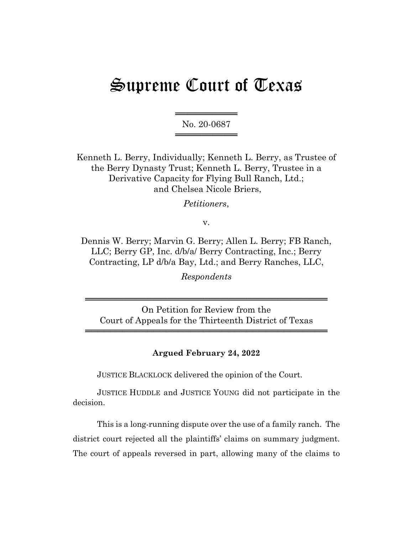# Supreme Court of Texas

══════════════════ No. 20-0687 ════════════════

Kenneth L. Berry, Individually; Kenneth L. Berry, as Trustee of the Berry Dynasty Trust; Kenneth L. Berry, Trustee in a Derivative Capacity for Flying Bull Ranch, Ltd.; and Chelsea Nicole Briers,

*Petitioners*,

v.

Dennis W. Berry; Marvin G. Berry; Allen L. Berry; FB Ranch, LLC; Berry GP, Inc. d/b/a/ Berry Contracting, Inc.; Berry Contracting, LP d/b/a Bay, Ltd.; and Berry Ranches, LLC,

*Respondents*

On Petition for Review from the Court of Appeals for the Thirteenth District of Texas

═══════════════════════════════════════

═══════════════════════════════════════

## **Argued February 24, 2022**

JUSTICE BLACKLOCK delivered the opinion of the Court.

JUSTICE HUDDLE and JUSTICE YOUNG did not participate in the decision.

This is a long-running dispute over the use of a family ranch. The district court rejected all the plaintiffs' claims on summary judgment. The court of appeals reversed in part, allowing many of the claims to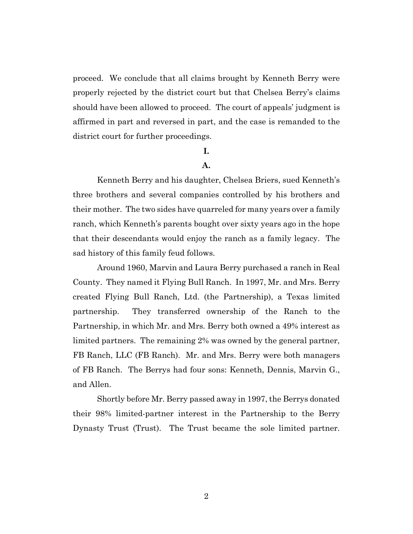proceed. We conclude that all claims brought by Kenneth Berry were properly rejected by the district court but that Chelsea Berry's claims should have been allowed to proceed. The court of appeals' judgment is affirmed in part and reversed in part, and the case is remanded to the district court for further proceedings.

## **I.**

## **A.**

Kenneth Berry and his daughter, Chelsea Briers, sued Kenneth's three brothers and several companies controlled by his brothers and their mother. The two sides have quarreled for many years over a family ranch, which Kenneth's parents bought over sixty years ago in the hope that their descendants would enjoy the ranch as a family legacy. The sad history of this family feud follows.

Around 1960, Marvin and Laura Berry purchased a ranch in Real County. They named it Flying Bull Ranch. In 1997, Mr. and Mrs. Berry created Flying Bull Ranch, Ltd. (the Partnership), a Texas limited partnership. They transferred ownership of the Ranch to the Partnership, in which Mr. and Mrs. Berry both owned a 49% interest as limited partners. The remaining 2% was owned by the general partner, FB Ranch, LLC (FB Ranch). Mr. and Mrs. Berry were both managers of FB Ranch. The Berrys had four sons: Kenneth, Dennis, Marvin G., and Allen.

Shortly before Mr. Berry passed away in 1997, the Berrys donated their 98% limited-partner interest in the Partnership to the Berry Dynasty Trust (Trust). The Trust became the sole limited partner.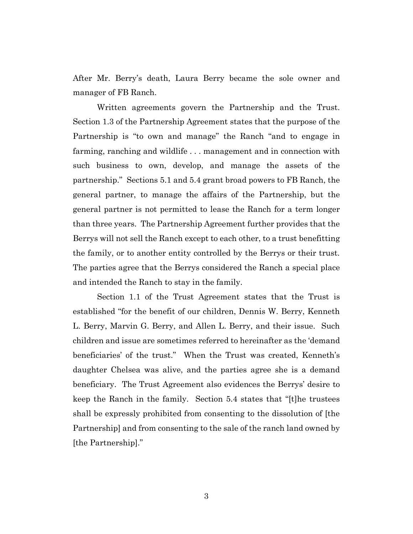After Mr. Berry's death, Laura Berry became the sole owner and manager of FB Ranch.

Written agreements govern the Partnership and the Trust. Section 1.3 of the Partnership Agreement states that the purpose of the Partnership is "to own and manage" the Ranch "and to engage in farming, ranching and wildlife . . . management and in connection with such business to own, develop, and manage the assets of the partnership." Sections 5.1 and 5.4 grant broad powers to FB Ranch, the general partner, to manage the affairs of the Partnership, but the general partner is not permitted to lease the Ranch for a term longer than three years. The Partnership Agreement further provides that the Berrys will not sell the Ranch except to each other, to a trust benefitting the family, or to another entity controlled by the Berrys or their trust. The parties agree that the Berrys considered the Ranch a special place and intended the Ranch to stay in the family.

Section 1.1 of the Trust Agreement states that the Trust is established "for the benefit of our children, Dennis W. Berry, Kenneth L. Berry, Marvin G. Berry, and Allen L. Berry, and their issue. Such children and issue are sometimes referred to hereinafter as the 'demand beneficiaries' of the trust." When the Trust was created, Kenneth's daughter Chelsea was alive, and the parties agree she is a demand beneficiary. The Trust Agreement also evidences the Berrys' desire to keep the Ranch in the family. Section 5.4 states that "[t]he trustees shall be expressly prohibited from consenting to the dissolution of [the Partnership] and from consenting to the sale of the ranch land owned by [the Partnership]."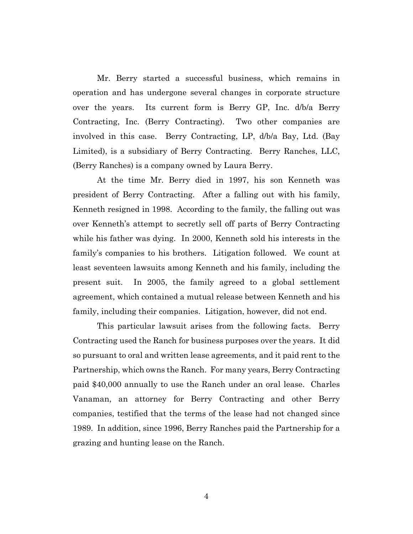Mr. Berry started a successful business, which remains in operation and has undergone several changes in corporate structure over the years. Its current form is Berry GP, Inc. d/b/a Berry Contracting, Inc. (Berry Contracting). Two other companies are involved in this case. Berry Contracting, LP, d/b/a Bay, Ltd. (Bay Limited), is a subsidiary of Berry Contracting. Berry Ranches, LLC, (Berry Ranches) is a company owned by Laura Berry.

At the time Mr. Berry died in 1997, his son Kenneth was president of Berry Contracting. After a falling out with his family, Kenneth resigned in 1998. According to the family, the falling out was over Kenneth's attempt to secretly sell off parts of Berry Contracting while his father was dying. In 2000, Kenneth sold his interests in the family's companies to his brothers. Litigation followed. We count at least seventeen lawsuits among Kenneth and his family, including the present suit. In 2005, the family agreed to a global settlement agreement, which contained a mutual release between Kenneth and his family, including their companies. Litigation, however, did not end.

This particular lawsuit arises from the following facts. Berry Contracting used the Ranch for business purposes over the years. It did so pursuant to oral and written lease agreements, and it paid rent to the Partnership, which owns the Ranch. For many years, Berry Contracting paid \$40,000 annually to use the Ranch under an oral lease. Charles Vanaman, an attorney for Berry Contracting and other Berry companies, testified that the terms of the lease had not changed since 1989. In addition, since 1996, Berry Ranches paid the Partnership for a grazing and hunting lease on the Ranch.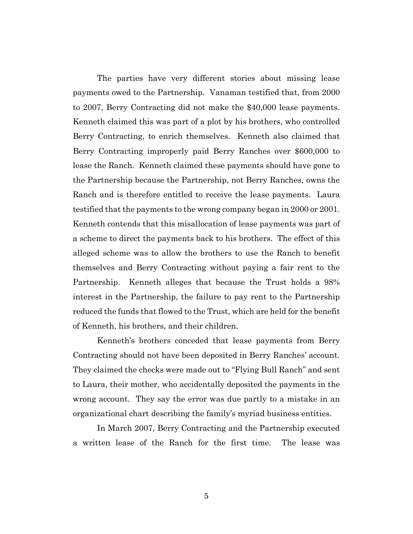The parties have very different stories about missing lease payments owed to the Partnership. Vanaman testified that, from 2000 to 2007, Berry Contracting did not make the \$40,000 lease payments. Kenneth claimed this was part of a plot by his brothers, who controlled Berry Contracting, to enrich themselves. Kenneth also claimed that Berry Contracting improperly paid Berry Ranches over \$600,000 to lease the Ranch. Kenneth claimed these payments should have gone to the Partnership because the Partnership, not Berry Ranches, owns the Ranch and is therefore entitled to receive the lease payments. Laura testified that the payments to the wrong company began in 2000 or 2001. Kenneth contends that this misallocation of lease payments was part of a scheme to direct the payments back to his brothers. The effect of this alleged scheme was to allow the brothers to use the Ranch to benefit themselves and Berry Contracting without paying a fair rent to the Partnership. Kenneth alleges that because the Trust holds a 98% interest in the Partnership, the failure to pay rent to the Partnership reduced the funds that flowed to the Trust, which are held for the benefit of Kenneth, his brothers, and their children.

Kenneth's brothers conceded that lease payments from Berry Contracting should not have been deposited in Berry Ranches' account. They claimed the checks were made out to "Flying Bull Ranch" and sent to Laura, their mother, who accidentally deposited the payments in the wrong account. They say the error was due partly to a mistake in an organizational chart describing the family's myriad business entities.

In March 2007, Berry Contracting and the Partnership executed a written lease of the Ranch for the first time. The lease was

5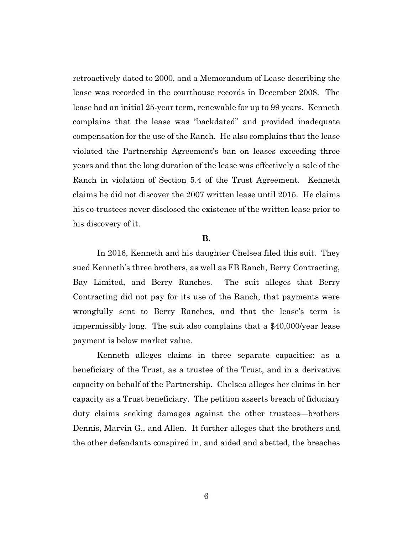retroactively dated to 2000, and a Memorandum of Lease describing the lease was recorded in the courthouse records in December 2008. The lease had an initial 25-year term, renewable for up to 99 years. Kenneth complains that the lease was "backdated" and provided inadequate compensation for the use of the Ranch. He also complains that the lease violated the Partnership Agreement's ban on leases exceeding three years and that the long duration of the lease was effectively a sale of the Ranch in violation of Section 5.4 of the Trust Agreement. Kenneth claims he did not discover the 2007 written lease until 2015. He claims his co-trustees never disclosed the existence of the written lease prior to his discovery of it.

#### **B.**

In 2016, Kenneth and his daughter Chelsea filed this suit. They sued Kenneth's three brothers, as well as FB Ranch, Berry Contracting, Bay Limited, and Berry Ranches. The suit alleges that Berry Contracting did not pay for its use of the Ranch, that payments were wrongfully sent to Berry Ranches, and that the lease's term is impermissibly long. The suit also complains that a \$40,000/year lease payment is below market value.

Kenneth alleges claims in three separate capacities: as a beneficiary of the Trust, as a trustee of the Trust, and in a derivative capacity on behalf of the Partnership. Chelsea alleges her claims in her capacity as a Trust beneficiary. The petition asserts breach of fiduciary duty claims seeking damages against the other trustees—brothers Dennis, Marvin G., and Allen. It further alleges that the brothers and the other defendants conspired in, and aided and abetted, the breaches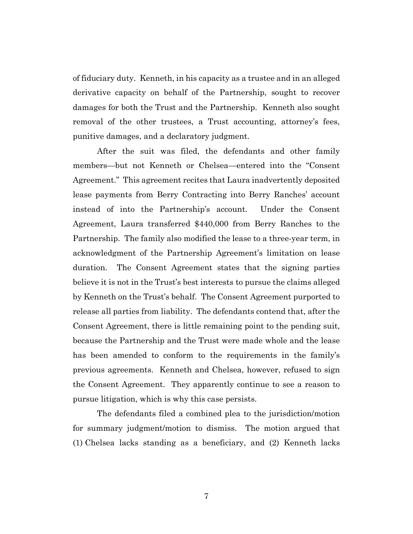of fiduciary duty. Kenneth, in his capacity as a trustee and in an alleged derivative capacity on behalf of the Partnership, sought to recover damages for both the Trust and the Partnership. Kenneth also sought removal of the other trustees, a Trust accounting, attorney's fees, punitive damages, and a declaratory judgment.

After the suit was filed, the defendants and other family members—but not Kenneth or Chelsea—entered into the "Consent Agreement." This agreement recites that Laura inadvertently deposited lease payments from Berry Contracting into Berry Ranches' account instead of into the Partnership's account. Under the Consent Agreement, Laura transferred \$440,000 from Berry Ranches to the Partnership. The family also modified the lease to a three-year term, in acknowledgment of the Partnership Agreement's limitation on lease duration. The Consent Agreement states that the signing parties believe it is not in the Trust's best interests to pursue the claims alleged by Kenneth on the Trust's behalf. The Consent Agreement purported to release all parties from liability. The defendants contend that, after the Consent Agreement, there is little remaining point to the pending suit, because the Partnership and the Trust were made whole and the lease has been amended to conform to the requirements in the family's previous agreements. Kenneth and Chelsea, however, refused to sign the Consent Agreement. They apparently continue to see a reason to pursue litigation, which is why this case persists.

The defendants filed a combined plea to the jurisdiction/motion for summary judgment/motion to dismiss. The motion argued that (1) Chelsea lacks standing as a beneficiary, and (2) Kenneth lacks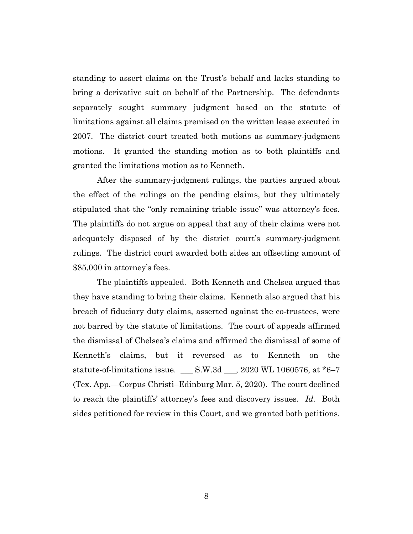standing to assert claims on the Trust's behalf and lacks standing to bring a derivative suit on behalf of the Partnership. The defendants separately sought summary judgment based on the statute of limitations against all claims premised on the written lease executed in 2007. The district court treated both motions as summary-judgment motions. It granted the standing motion as to both plaintiffs and granted the limitations motion as to Kenneth.

After the summary-judgment rulings, the parties argued about the effect of the rulings on the pending claims, but they ultimately stipulated that the "only remaining triable issue" was attorney's fees. The plaintiffs do not argue on appeal that any of their claims were not adequately disposed of by the district court's summary-judgment rulings. The district court awarded both sides an offsetting amount of \$85,000 in attorney's fees.

The plaintiffs appealed. Both Kenneth and Chelsea argued that they have standing to bring their claims. Kenneth also argued that his breach of fiduciary duty claims, asserted against the co-trustees, were not barred by the statute of limitations. The court of appeals affirmed the dismissal of Chelsea's claims and affirmed the dismissal of some of Kenneth's claims, but it reversed as to Kenneth on the statute-of-limitations issue. \_\_\_ S.W.3d \_\_\_, 2020 WL 1060576, at \*6–7 (Tex. App.—Corpus Christi–Edinburg Mar. 5, 2020). The court declined to reach the plaintiffs' attorney's fees and discovery issues. *Id.* Both sides petitioned for review in this Court, and we granted both petitions.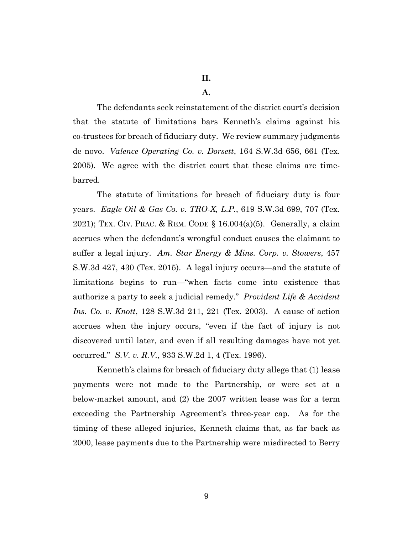#### **A.**

The defendants seek reinstatement of the district court's decision that the statute of limitations bars Kenneth's claims against his co-trustees for breach of fiduciary duty. We review summary judgments de novo. *Valence Operating Co. v. Dorsett*, 164 S.W.3d 656, 661 (Tex. 2005). We agree with the district court that these claims are timebarred.

The statute of limitations for breach of fiduciary duty is four years. *Eagle Oil & Gas Co. v. TRO-X, L.P.*, 619 S.W.3d 699, 707 (Tex. 2021); TEX. CIV. PRAC. & REM. CODE  $\S$  16.004(a)(5). Generally, a claim accrues when the defendant's wrongful conduct causes the claimant to suffer a legal injury. *Am. Star Energy & Mins. Corp. v. Stowers*, 457 S.W.3d 427, 430 (Tex. 2015). A legal injury occurs—and the statute of limitations begins to run—"when facts come into existence that authorize a party to seek a judicial remedy." *Provident Life & Accident Ins. Co. v. Knott*, 128 S.W.3d 211, 221 (Tex. 2003). A cause of action accrues when the injury occurs, "even if the fact of injury is not discovered until later, and even if all resulting damages have not yet occurred." *S.V. v. R.V.*, 933 S.W.2d 1, 4 (Tex. 1996).

Kenneth's claims for breach of fiduciary duty allege that (1) lease payments were not made to the Partnership, or were set at a below-market amount, and (2) the 2007 written lease was for a term exceeding the Partnership Agreement's three-year cap. As for the timing of these alleged injuries, Kenneth claims that, as far back as 2000, lease payments due to the Partnership were misdirected to Berry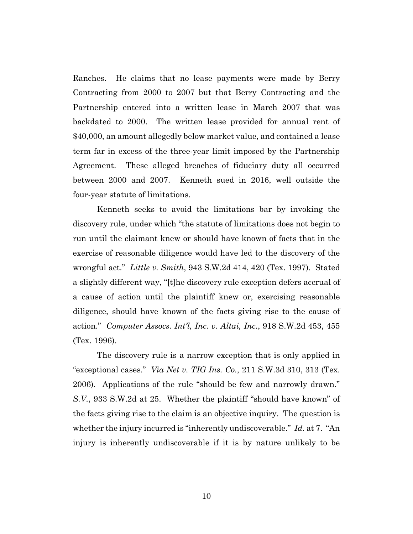Ranches. He claims that no lease payments were made by Berry Contracting from 2000 to 2007 but that Berry Contracting and the Partnership entered into a written lease in March 2007 that was backdated to 2000. The written lease provided for annual rent of \$40,000, an amount allegedly below market value, and contained a lease term far in excess of the three-year limit imposed by the Partnership Agreement. These alleged breaches of fiduciary duty all occurred between 2000 and 2007. Kenneth sued in 2016, well outside the four-year statute of limitations.

Kenneth seeks to avoid the limitations bar by invoking the discovery rule, under which "the statute of limitations does not begin to run until the claimant knew or should have known of facts that in the exercise of reasonable diligence would have led to the discovery of the wrongful act." *Little v. Smith*, 943 S.W.2d 414, 420 (Tex. 1997). Stated a slightly different way, "[t]he discovery rule exception defers accrual of a cause of action until the plaintiff knew or, exercising reasonable diligence, should have known of the facts giving rise to the cause of action." *Computer Assocs. Int'l, Inc. v. Altai, Inc.*, 918 S.W.2d 453, 455 (Tex. 1996).

The discovery rule is a narrow exception that is only applied in "exceptional cases." *Via Net v. TIG Ins. Co.*, 211 S.W.3d 310, 313 (Tex. 2006). Applications of the rule "should be few and narrowly drawn." *S.V.*, 933 S.W.2d at 25. Whether the plaintiff "should have known" of the facts giving rise to the claim is an objective inquiry. The question is whether the injury incurred is "inherently undiscoverable." *Id.* at 7. "An injury is inherently undiscoverable if it is by nature unlikely to be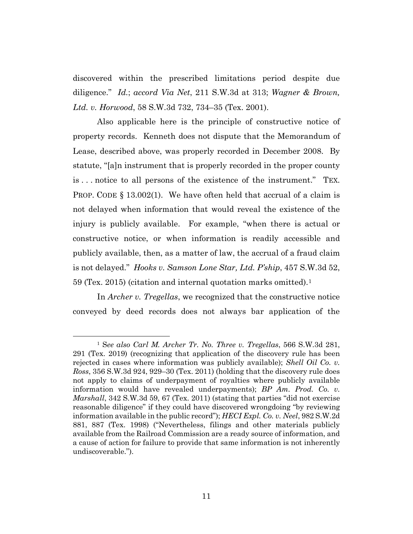discovered within the prescribed limitations period despite due diligence." *Id.*; *accord Via Net*, 211 S.W.3d at 313; *Wagner & Brown, Ltd. v. Horwood*, 58 S.W.3d 732, 734–35 (Tex. 2001).

Also applicable here is the principle of constructive notice of property records. Kenneth does not dispute that the Memorandum of Lease, described above, was properly recorded in December 2008. By statute, "[a]n instrument that is properly recorded in the proper county is . . . notice to all persons of the existence of the instrument." TEX. **PROP.** CODE  $\S$  13.002(1). We have often held that accrual of a claim is not delayed when information that would reveal the existence of the injury is publicly available. For example, "when there is actual or constructive notice, or when information is readily accessible and publicly available, then, as a matter of law, the accrual of a fraud claim is not delayed." *Hooks v. Samson Lone Star, Ltd. P'ship*, 457 S.W.3d 52, 59 (Tex. 2015) (citation and internal quotation marks omitted).1

In *Archer v. Tregellas*, we recognized that the constructive notice conveyed by deed records does not always bar application of the

<sup>1</sup> S*ee also Carl M. Archer Tr. No. Three v. Tregellas*, 566 S.W.3d 281, 291 (Tex. 2019) (recognizing that application of the discovery rule has been rejected in cases where information was publicly available); *Shell Oil Co. v. Ross*, 356 S.W.3d 924, 929–30 (Tex. 2011) (holding that the discovery rule does not apply to claims of underpayment of royalties where publicly available information would have revealed underpayments); *BP Am. Prod. Co. v. Marshall*, 342 S.W.3d 59, 67 (Tex. 2011) (stating that parties "did not exercise reasonable diligence" if they could have discovered wrongdoing "by reviewing information available in the public record"); *HECI Expl. Co. v. Neel*, 982 S.W.2d 881, 887 (Tex. 1998) ("Nevertheless, filings and other materials publicly available from the Railroad Commission are a ready source of information, and a cause of action for failure to provide that same information is not inherently undiscoverable.").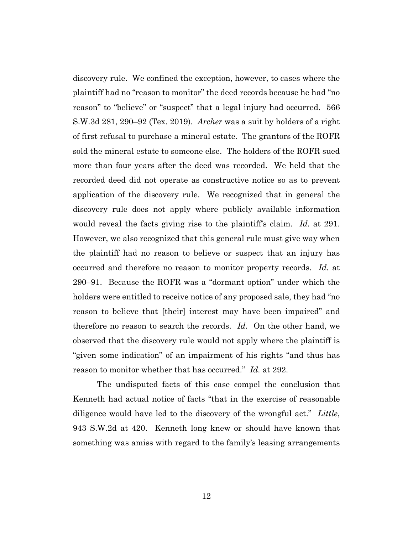discovery rule. We confined the exception, however, to cases where the plaintiff had no "reason to monitor" the deed records because he had "no reason" to "believe" or "suspect" that a legal injury had occurred. 566 S.W.3d 281, 290–92 (Tex. 2019). *Archer* was a suit by holders of a right of first refusal to purchase a mineral estate. The grantors of the ROFR sold the mineral estate to someone else. The holders of the ROFR sued more than four years after the deed was recorded. We held that the recorded deed did not operate as constructive notice so as to prevent application of the discovery rule. We recognized that in general the discovery rule does not apply where publicly available information would reveal the facts giving rise to the plaintiff's claim. *Id.* at 291. However, we also recognized that this general rule must give way when the plaintiff had no reason to believe or suspect that an injury has occurred and therefore no reason to monitor property records. *Id.* at 290–91. Because the ROFR was a "dormant option" under which the holders were entitled to receive notice of any proposed sale, they had "no reason to believe that [their] interest may have been impaired" and therefore no reason to search the records. *Id*. On the other hand, we observed that the discovery rule would not apply where the plaintiff is "given some indication" of an impairment of his rights "and thus has reason to monitor whether that has occurred." *Id.* at 292.

The undisputed facts of this case compel the conclusion that Kenneth had actual notice of facts "that in the exercise of reasonable diligence would have led to the discovery of the wrongful act." *Little*, 943 S.W.2d at 420. Kenneth long knew or should have known that something was amiss with regard to the family's leasing arrangements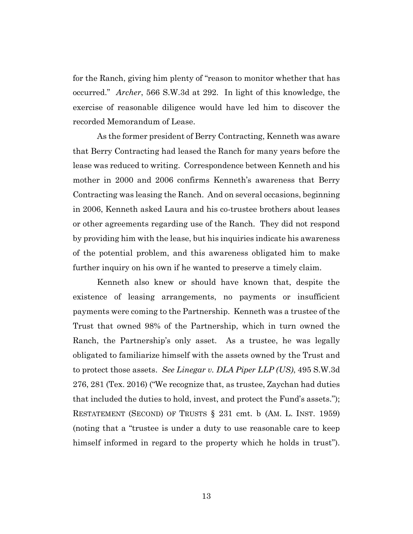for the Ranch, giving him plenty of "reason to monitor whether that has occurred." *Archer*, 566 S.W.3d at 292. In light of this knowledge, the exercise of reasonable diligence would have led him to discover the recorded Memorandum of Lease.

As the former president of Berry Contracting, Kenneth was aware that Berry Contracting had leased the Ranch for many years before the lease was reduced to writing. Correspondence between Kenneth and his mother in 2000 and 2006 confirms Kenneth's awareness that Berry Contracting was leasing the Ranch. And on several occasions, beginning in 2006, Kenneth asked Laura and his co-trustee brothers about leases or other agreements regarding use of the Ranch. They did not respond by providing him with the lease, but his inquiries indicate his awareness of the potential problem, and this awareness obligated him to make further inquiry on his own if he wanted to preserve a timely claim.

Kenneth also knew or should have known that, despite the existence of leasing arrangements, no payments or insufficient payments were coming to the Partnership. Kenneth was a trustee of the Trust that owned 98% of the Partnership, which in turn owned the Ranch, the Partnership's only asset. As a trustee, he was legally obligated to familiarize himself with the assets owned by the Trust and to protect those assets. *See Linegar v. DLA Piper LLP (US)*, 495 S.W.3d 276, 281 (Tex. 2016) ("We recognize that, as trustee, Zaychan had duties that included the duties to hold, invest, and protect the Fund's assets."); RESTATEMENT (SECOND) OF TRUSTS § 231 cmt. b (AM. L. INST. 1959) (noting that a "trustee is under a duty to use reasonable care to keep himself informed in regard to the property which he holds in trust").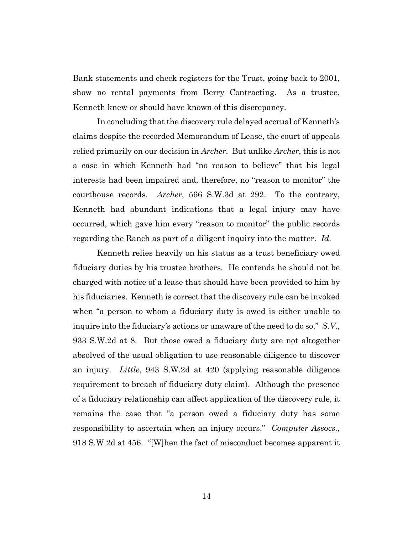Bank statements and check registers for the Trust, going back to 2001, show no rental payments from Berry Contracting. As a trustee, Kenneth knew or should have known of this discrepancy.

In concluding that the discovery rule delayed accrual of Kenneth's claims despite the recorded Memorandum of Lease, the court of appeals relied primarily on our decision in *Archer*. But unlike *Archer*, this is not a case in which Kenneth had "no reason to believe" that his legal interests had been impaired and, therefore, no "reason to monitor" the courthouse records. *Archer*, 566 S.W.3d at 292. To the contrary, Kenneth had abundant indications that a legal injury may have occurred, which gave him every "reason to monitor" the public records regarding the Ranch as part of a diligent inquiry into the matter. *Id.*

Kenneth relies heavily on his status as a trust beneficiary owed fiduciary duties by his trustee brothers. He contends he should not be charged with notice of a lease that should have been provided to him by his fiduciaries. Kenneth is correct that the discovery rule can be invoked when "a person to whom a fiduciary duty is owed is either unable to inquire into the fiduciary's actions or unaware of the need to do so." *S.V.*, 933 S.W.2d at 8. But those owed a fiduciary duty are not altogether absolved of the usual obligation to use reasonable diligence to discover an injury. *Little*, 943 S.W.2d at 420 (applying reasonable diligence requirement to breach of fiduciary duty claim). Although the presence of a fiduciary relationship can affect application of the discovery rule, it remains the case that "a person owed a fiduciary duty has some responsibility to ascertain when an injury occurs." *Computer Assocs.*, 918 S.W.2d at 456. "[W]hen the fact of misconduct becomes apparent it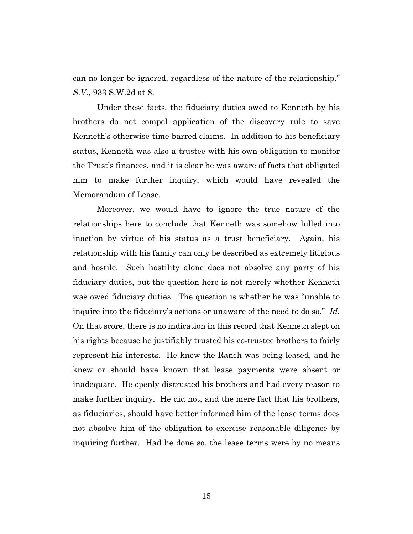can no longer be ignored, regardless of the nature of the relationship." *S.V.*, 933 S.W.2d at 8.

Under these facts, the fiduciary duties owed to Kenneth by his brothers do not compel application of the discovery rule to save Kenneth's otherwise time-barred claims. In addition to his beneficiary status, Kenneth was also a trustee with his own obligation to monitor the Trust's finances, and it is clear he was aware of facts that obligated him to make further inquiry, which would have revealed the Memorandum of Lease.

Moreover, we would have to ignore the true nature of the relationships here to conclude that Kenneth was somehow lulled into inaction by virtue of his status as a trust beneficiary. Again, his relationship with his family can only be described as extremely litigious and hostile. Such hostility alone does not absolve any party of his fiduciary duties, but the question here is not merely whether Kenneth was owed fiduciary duties. The question is whether he was "unable to inquire into the fiduciary's actions or unaware of the need to do so." *Id.* On that score, there is no indication in this record that Kenneth slept on his rights because he justifiably trusted his co-trustee brothers to fairly represent his interests. He knew the Ranch was being leased, and he knew or should have known that lease payments were absent or inadequate. He openly distrusted his brothers and had every reason to make further inquiry. He did not, and the mere fact that his brothers, as fiduciaries, should have better informed him of the lease terms does not absolve him of the obligation to exercise reasonable diligence by inquiring further. Had he done so, the lease terms were by no means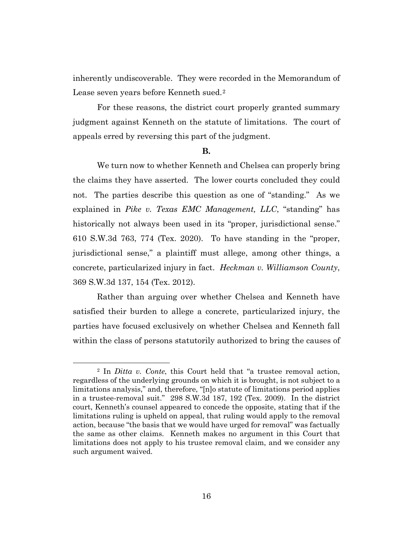inherently undiscoverable. They were recorded in the Memorandum of Lease seven years before Kenneth sued.2

For these reasons, the district court properly granted summary judgment against Kenneth on the statute of limitations. The court of appeals erred by reversing this part of the judgment.

#### **B.**

We turn now to whether Kenneth and Chelsea can properly bring the claims they have asserted. The lower courts concluded they could not. The parties describe this question as one of "standing." As we explained in *Pike v. Texas EMC Management, LLC*, "standing" has historically not always been used in its "proper, jurisdictional sense." 610 S.W.3d 763, 774 (Tex. 2020). To have standing in the "proper, jurisdictional sense," a plaintiff must allege, among other things, a concrete, particularized injury in fact. *Heckman v. Williamson County*, 369 S.W.3d 137, 154 (Tex. 2012).

Rather than arguing over whether Chelsea and Kenneth have satisfied their burden to allege a concrete, particularized injury, the parties have focused exclusively on whether Chelsea and Kenneth fall within the class of persons statutorily authorized to bring the causes of

<sup>2</sup> In *Ditta v. Conte*, this Court held that "a trustee removal action, regardless of the underlying grounds on which it is brought, is not subject to a limitations analysis," and, therefore, "[n]o statute of limitations period applies in a trustee-removal suit." 298 S.W.3d 187, 192 (Tex. 2009). In the district court, Kenneth's counsel appeared to concede the opposite, stating that if the limitations ruling is upheld on appeal, that ruling would apply to the removal action, because "the basis that we would have urged for removal" was factually the same as other claims. Kenneth makes no argument in this Court that limitations does not apply to his trustee removal claim, and we consider any such argument waived.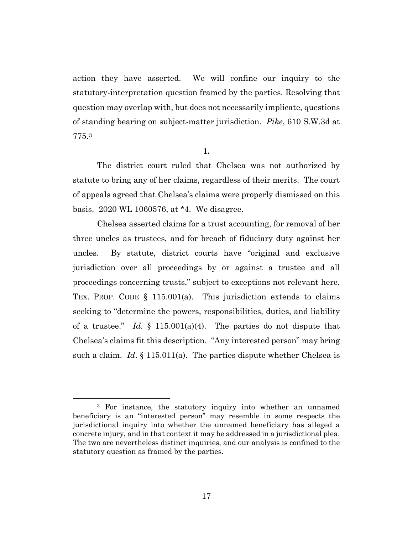action they have asserted. We will confine our inquiry to the statutory-interpretation question framed by the parties. Resolving that question may overlap with, but does not necessarily implicate, questions of standing bearing on subject-matter jurisdiction. *Pike*, 610 S.W.3d at 775.3

**1.**

The district court ruled that Chelsea was not authorized by statute to bring any of her claims, regardless of their merits. The court of appeals agreed that Chelsea's claims were properly dismissed on this basis. 2020 WL 1060576, at \*4. We disagree.

Chelsea asserted claims for a trust accounting, for removal of her three uncles as trustees, and for breach of fiduciary duty against her uncles. By statute, district courts have "original and exclusive jurisdiction over all proceedings by or against a trustee and all proceedings concerning trusts," subject to exceptions not relevant here. TEX. PROP. CODE § 115.001(a). This jurisdiction extends to claims seeking to "determine the powers, responsibilities, duties, and liability of a trustee." *Id*. § 115.001(a)(4). The parties do not dispute that Chelsea's claims fit this description. "Any interested person" may bring such a claim. *Id*. § 115.011(a). The parties dispute whether Chelsea is

<sup>&</sup>lt;sup>3</sup> For instance, the statutory inquiry into whether an unnamed beneficiary is an "interested person" may resemble in some respects the jurisdictional inquiry into whether the unnamed beneficiary has alleged a concrete injury, and in that context it may be addressed in a jurisdictional plea. The two are nevertheless distinct inquiries, and our analysis is confined to the statutory question as framed by the parties.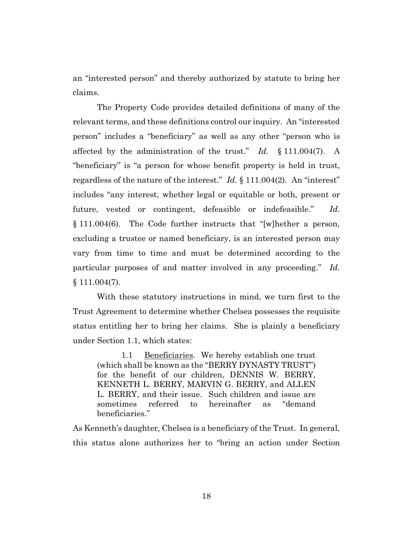an "interested person" and thereby authorized by statute to bring her claims.

The Property Code provides detailed definitions of many of the relevant terms, and these definitions control our inquiry. An "interested person" includes a "beneficiary" as well as any other "person who is affected by the administration of the trust." *Id.* § 111.004(7). A "beneficiary" is "a person for whose benefit property is held in trust, regardless of the nature of the interest." *Id.* § 111.004(2). An "interest" includes "any interest, whether legal or equitable or both, present or future, vested or contingent, defeasible or indefeasible." *Id.* § 111.004(6). The Code further instructs that "[w]hether a person, excluding a trustee or named beneficiary, is an interested person may vary from time to time and must be determined according to the particular purposes of and matter involved in any proceeding." *Id.*  $§ 111.004(7).$ 

With these statutory instructions in mind, we turn first to the Trust Agreement to determine whether Chelsea possesses the requisite status entitling her to bring her claims. She is plainly a beneficiary under Section 1.1, which states:

1.1 Beneficiaries. We hereby establish one trust (which shall be known as the "BERRY DYNASTY TRUST") for the benefit of our children, DENNIS W. BERRY, KENNETH L. BERRY, MARVIN G. BERRY, and ALLEN L. BERRY, and their issue. Such children and issue are sometimes referred to hereinafter as "demand beneficiaries."

As Kenneth's daughter, Chelsea is a beneficiary of the Trust. In general, this status alone authorizes her to "bring an action under Section

18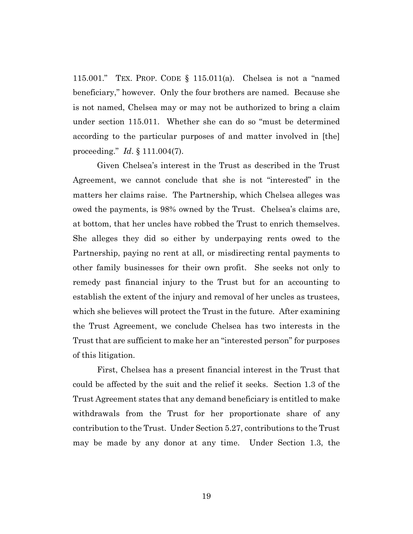115.001." TEX. PROP. CODE § 115.011(a). Chelsea is not a "named beneficiary," however. Only the four brothers are named. Because she is not named, Chelsea may or may not be authorized to bring a claim under section 115.011. Whether she can do so "must be determined according to the particular purposes of and matter involved in [the] proceeding." *Id*. § 111.004(7).

Given Chelsea's interest in the Trust as described in the Trust Agreement, we cannot conclude that she is not "interested" in the matters her claims raise. The Partnership, which Chelsea alleges was owed the payments, is 98% owned by the Trust. Chelsea's claims are, at bottom, that her uncles have robbed the Trust to enrich themselves. She alleges they did so either by underpaying rents owed to the Partnership, paying no rent at all, or misdirecting rental payments to other family businesses for their own profit. She seeks not only to remedy past financial injury to the Trust but for an accounting to establish the extent of the injury and removal of her uncles as trustees, which she believes will protect the Trust in the future. After examining the Trust Agreement, we conclude Chelsea has two interests in the Trust that are sufficient to make her an "interested person" for purposes of this litigation.

First, Chelsea has a present financial interest in the Trust that could be affected by the suit and the relief it seeks. Section 1.3 of the Trust Agreement states that any demand beneficiary is entitled to make withdrawals from the Trust for her proportionate share of any contribution to the Trust. Under Section 5.27, contributions to the Trust may be made by any donor at any time. Under Section 1.3, the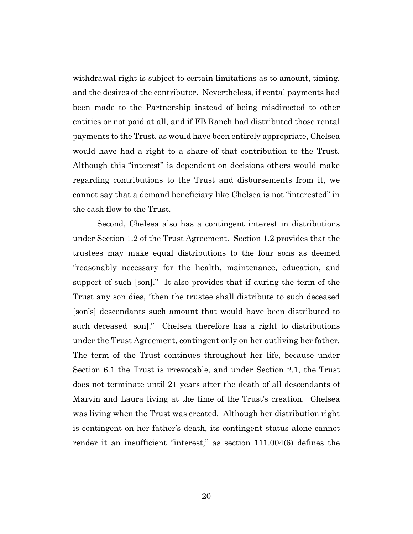withdrawal right is subject to certain limitations as to amount, timing, and the desires of the contributor. Nevertheless, if rental payments had been made to the Partnership instead of being misdirected to other entities or not paid at all, and if FB Ranch had distributed those rental payments to the Trust, as would have been entirely appropriate, Chelsea would have had a right to a share of that contribution to the Trust. Although this "interest" is dependent on decisions others would make regarding contributions to the Trust and disbursements from it, we cannot say that a demand beneficiary like Chelsea is not "interested" in the cash flow to the Trust.

Second, Chelsea also has a contingent interest in distributions under Section 1.2 of the Trust Agreement. Section 1.2 provides that the trustees may make equal distributions to the four sons as deemed "reasonably necessary for the health, maintenance, education, and support of such [son]." It also provides that if during the term of the Trust any son dies, "then the trustee shall distribute to such deceased [son's] descendants such amount that would have been distributed to such deceased [son]." Chelsea therefore has a right to distributions under the Trust Agreement, contingent only on her outliving her father. The term of the Trust continues throughout her life, because under Section 6.1 the Trust is irrevocable, and under Section 2.1, the Trust does not terminate until 21 years after the death of all descendants of Marvin and Laura living at the time of the Trust's creation. Chelsea was living when the Trust was created. Although her distribution right is contingent on her father's death, its contingent status alone cannot render it an insufficient "interest," as section 111.004(6) defines the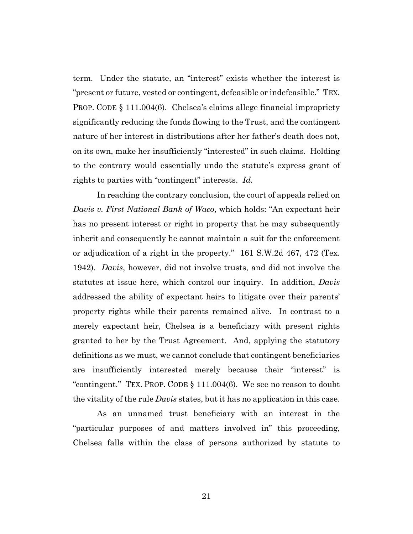term. Under the statute, an "interest" exists whether the interest is "present or future, vested or contingent, defeasible or indefeasible." TEX. PROP. CODE § 111.004(6). Chelsea's claims allege financial impropriety significantly reducing the funds flowing to the Trust, and the contingent nature of her interest in distributions after her father's death does not, on its own, make her insufficiently "interested" in such claims. Holding to the contrary would essentially undo the statute's express grant of rights to parties with "contingent" interests. *Id.*

In reaching the contrary conclusion, the court of appeals relied on *Davis v. First National Bank of Waco*, which holds: "An expectant heir has no present interest or right in property that he may subsequently inherit and consequently he cannot maintain a suit for the enforcement or adjudication of a right in the property." 161 S.W.2d 467, 472 (Tex. 1942). *Davis*, however, did not involve trusts, and did not involve the statutes at issue here, which control our inquiry. In addition, *Davis* addressed the ability of expectant heirs to litigate over their parents' property rights while their parents remained alive. In contrast to a merely expectant heir, Chelsea is a beneficiary with present rights granted to her by the Trust Agreement. And, applying the statutory definitions as we must, we cannot conclude that contingent beneficiaries are insufficiently interested merely because their "interest" is "contingent." TEX. PROP. CODE § 111.004(6). We see no reason to doubt the vitality of the rule *Davis* states, but it has no application in this case.

As an unnamed trust beneficiary with an interest in the "particular purposes of and matters involved in" this proceeding, Chelsea falls within the class of persons authorized by statute to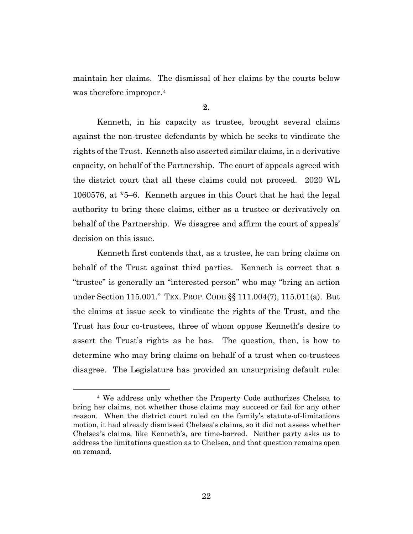maintain her claims. The dismissal of her claims by the courts below was therefore improper.<sup>4</sup>

### **2.**

Kenneth, in his capacity as trustee, brought several claims against the non-trustee defendants by which he seeks to vindicate the rights of the Trust. Kenneth also asserted similar claims, in a derivative capacity, on behalf of the Partnership. The court of appeals agreed with the district court that all these claims could not proceed. 2020 WL 1060576, at \*5–6. Kenneth argues in this Court that he had the legal authority to bring these claims, either as a trustee or derivatively on behalf of the Partnership. We disagree and affirm the court of appeals' decision on this issue.

Kenneth first contends that, as a trustee, he can bring claims on behalf of the Trust against third parties. Kenneth is correct that a "trustee" is generally an "interested person" who may "bring an action under Section 115.001." TEX. PROP. CODE §§ 111.004(7), 115.011(a). But the claims at issue seek to vindicate the rights of the Trust, and the Trust has four co-trustees, three of whom oppose Kenneth's desire to assert the Trust's rights as he has. The question, then, is how to determine who may bring claims on behalf of a trust when co-trustees disagree. The Legislature has provided an unsurprising default rule:

<sup>4</sup> We address only whether the Property Code authorizes Chelsea to bring her claims, not whether those claims may succeed or fail for any other reason. When the district court ruled on the family's statute-of-limitations motion, it had already dismissed Chelsea's claims, so it did not assess whether Chelsea's claims, like Kenneth's, are time-barred. Neither party asks us to address the limitations question as to Chelsea, and that question remains open on remand.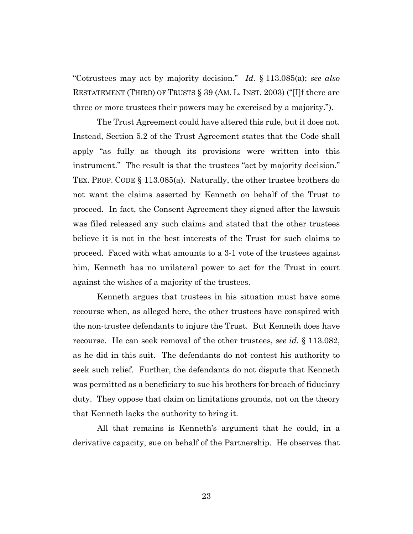"Cotrustees may act by majority decision." *Id.* § 113.085(a); *see also* RESTATEMENT (THIRD) OF TRUSTS § 39 (AM. L. INST. 2003) ("[I]f there are three or more trustees their powers may be exercised by a majority.").

The Trust Agreement could have altered this rule, but it does not. Instead, Section 5.2 of the Trust Agreement states that the Code shall apply "as fully as though its provisions were written into this instrument." The result is that the trustees "act by majority decision." TEX. PROP. CODE § 113.085(a). Naturally, the other trustee brothers do not want the claims asserted by Kenneth on behalf of the Trust to proceed. In fact, the Consent Agreement they signed after the lawsuit was filed released any such claims and stated that the other trustees believe it is not in the best interests of the Trust for such claims to proceed. Faced with what amounts to a 3-1 vote of the trustees against him, Kenneth has no unilateral power to act for the Trust in court against the wishes of a majority of the trustees.

Kenneth argues that trustees in his situation must have some recourse when, as alleged here, the other trustees have conspired with the non-trustee defendants to injure the Trust. But Kenneth does have recourse. He can seek removal of the other trustees, *see id.* § 113.082, as he did in this suit. The defendants do not contest his authority to seek such relief. Further, the defendants do not dispute that Kenneth was permitted as a beneficiary to sue his brothers for breach of fiduciary duty. They oppose that claim on limitations grounds, not on the theory that Kenneth lacks the authority to bring it.

All that remains is Kenneth's argument that he could, in a derivative capacity, sue on behalf of the Partnership. He observes that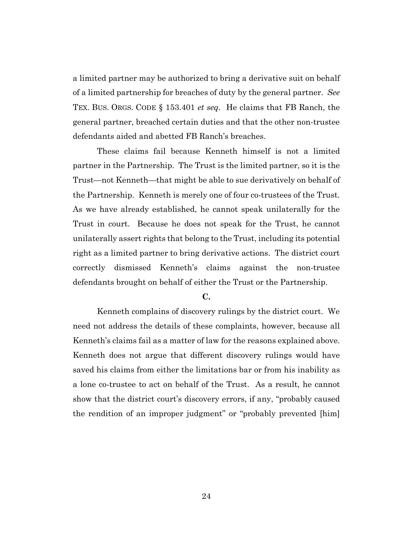a limited partner may be authorized to bring a derivative suit on behalf of a limited partnership for breaches of duty by the general partner. *See* TEX. BUS. ORGS. CODE § 153.401 *et seq.* He claims that FB Ranch, the general partner, breached certain duties and that the other non-trustee defendants aided and abetted FB Ranch's breaches.

These claims fail because Kenneth himself is not a limited partner in the Partnership. The Trust is the limited partner, so it is the Trust—not Kenneth—that might be able to sue derivatively on behalf of the Partnership. Kenneth is merely one of four co-trustees of the Trust. As we have already established, he cannot speak unilaterally for the Trust in court. Because he does not speak for the Trust, he cannot unilaterally assert rights that belong to the Trust, including its potential right as a limited partner to bring derivative actions. The district court correctly dismissed Kenneth's claims against the non-trustee defendants brought on behalf of either the Trust or the Partnership.

#### **C.**

Kenneth complains of discovery rulings by the district court. We need not address the details of these complaints, however, because all Kenneth's claims fail as a matter of law for the reasons explained above. Kenneth does not argue that different discovery rulings would have saved his claims from either the limitations bar or from his inability as a lone co-trustee to act on behalf of the Trust. As a result, he cannot show that the district court's discovery errors, if any, "probably caused the rendition of an improper judgment" or "probably prevented [him]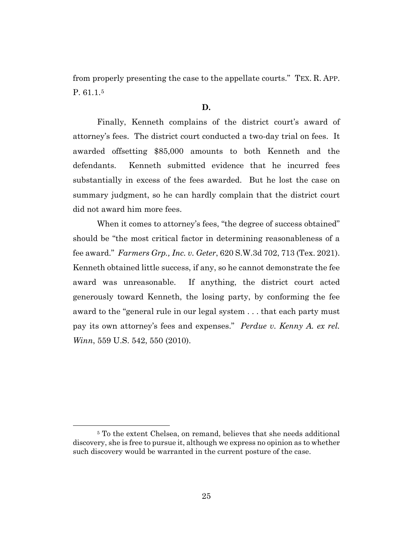from properly presenting the case to the appellate courts." TEX. R. APP. P. 61.1.5

## **D.**

Finally, Kenneth complains of the district court's award of attorney's fees. The district court conducted a two-day trial on fees. It awarded offsetting \$85,000 amounts to both Kenneth and the defendants. Kenneth submitted evidence that he incurred fees substantially in excess of the fees awarded. But he lost the case on summary judgment, so he can hardly complain that the district court did not award him more fees.

When it comes to attorney's fees, "the degree of success obtained" should be "the most critical factor in determining reasonableness of a fee award." *Farmers Grp., Inc. v. Geter*, 620 S.W.3d 702, 713 (Tex. 2021). Kenneth obtained little success, if any, so he cannot demonstrate the fee award was unreasonable. If anything, the district court acted generously toward Kenneth, the losing party, by conforming the fee award to the "general rule in our legal system . . . that each party must pay its own attorney's fees and expenses." *Perdue v. Kenny A. ex rel. Winn*, 559 U.S. 542, 550 (2010).

<sup>5</sup> To the extent Chelsea, on remand, believes that she needs additional discovery, she is free to pursue it, although we express no opinion as to whether such discovery would be warranted in the current posture of the case.